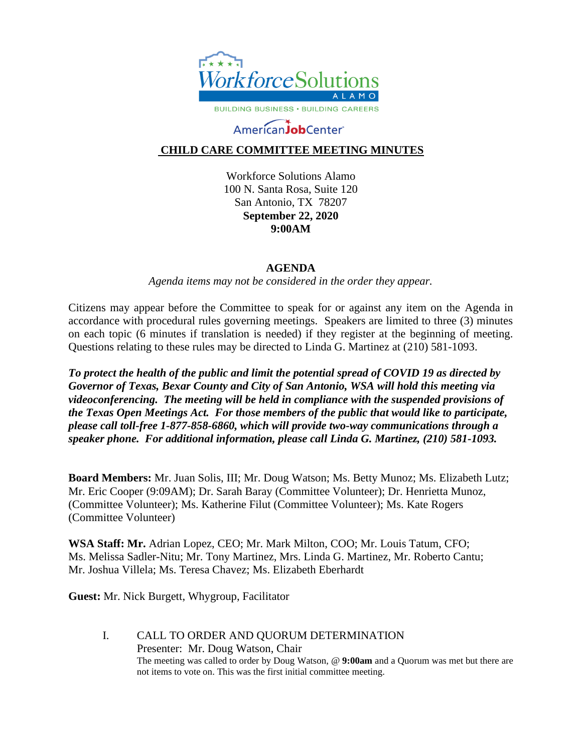

# AmericanJobCenter®

## **CHILD CARE COMMITTEE MEETING MINUTES**

Workforce Solutions Alamo 100 N. Santa Rosa, Suite 120 San Antonio, TX 78207 **September 22, 2020 9:00AM**

#### **AGENDA**

*Agenda items may not be considered in the order they appear.*

Citizens may appear before the Committee to speak for or against any item on the Agenda in accordance with procedural rules governing meetings. Speakers are limited to three (3) minutes on each topic (6 minutes if translation is needed) if they register at the beginning of meeting. Questions relating to these rules may be directed to Linda G. Martinez at (210) 581-1093.

*To protect the health of the public and limit the potential spread of COVID 19 as directed by Governor of Texas, Bexar County and City of San Antonio, WSA will hold this meeting via videoconferencing. The meeting will be held in compliance with the suspended provisions of the Texas Open Meetings Act. For those members of the public that would like to participate, please call toll-free 1-877-858-6860, which will provide two-way communications through a speaker phone. For additional information, please call Linda G. Martinez, (210) 581-1093.* 

**Board Members:** Mr. Juan Solis, III; Mr. Doug Watson; Ms. Betty Munoz; Ms. Elizabeth Lutz; Mr. Eric Cooper (9:09AM); Dr. Sarah Baray (Committee Volunteer); Dr. Henrietta Munoz, (Committee Volunteer); Ms. Katherine Filut (Committee Volunteer); Ms. Kate Rogers (Committee Volunteer)

**WSA Staff: Mr.** Adrian Lopez, CEO; Mr. Mark Milton, COO; Mr. Louis Tatum, CFO; Ms. Melissa Sadler-Nitu; Mr. Tony Martinez, Mrs. Linda G. Martinez, Mr. Roberto Cantu; Mr. Joshua Villela; Ms. Teresa Chavez; Ms. Elizabeth Eberhardt

**Guest:** Mr. Nick Burgett, Whygroup, Facilitator

I. CALL TO ORDER AND QUORUM DETERMINATION Presenter: Mr. Doug Watson, Chair The meeting was called to order by Doug Watson, @ **9:00am** and a Quorum was met but there are not items to vote on. This was the first initial committee meeting.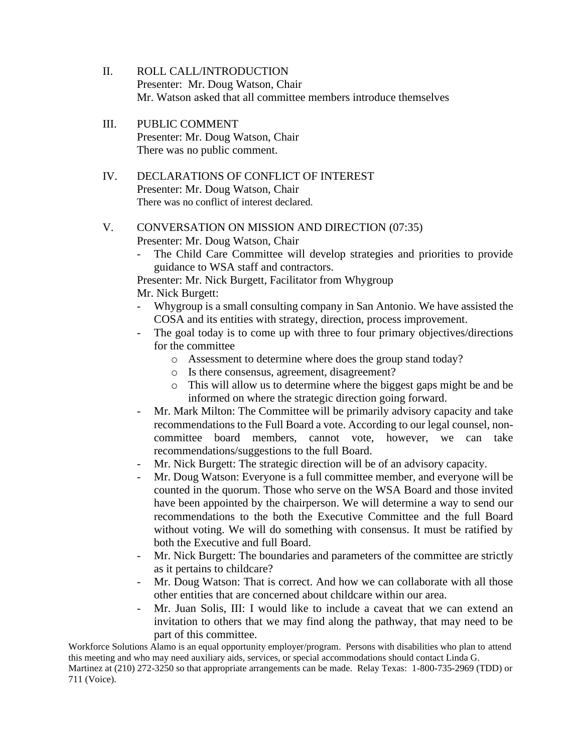- II. ROLL CALL/INTRODUCTION Presenter: Mr. Doug Watson, Chair Mr. Watson asked that all committee members introduce themselves
- III. PUBLIC COMMENT Presenter: Mr. Doug Watson, Chair There was no public comment.
- IV. DECLARATIONS OF CONFLICT OF INTEREST Presenter: Mr. Doug Watson, Chair There was no conflict of interest declared.

### V. CONVERSATION ON MISSION AND DIRECTION (07:35) Presenter: Mr. Doug Watson, Chair

- The Child Care Committee will develop strategies and priorities to provide guidance to WSA staff and contractors.

Presenter: Mr. Nick Burgett, Facilitator from Whygroup Mr. Nick Burgett:

- Whygroup is a small consulting company in San Antonio. We have assisted the COSA and its entities with strategy, direction, process improvement.
- The goal today is to come up with three to four primary objectives/directions for the committee
	- o Assessment to determine where does the group stand today?
	- o Is there consensus, agreement, disagreement?
	- o This will allow us to determine where the biggest gaps might be and be informed on where the strategic direction going forward.
- Mr. Mark Milton: The Committee will be primarily advisory capacity and take recommendations to the Full Board a vote. According to our legal counsel, noncommittee board members, cannot vote, however, we can take recommendations/suggestions to the full Board.
- Mr. Nick Burgett: The strategic direction will be of an advisory capacity.
- Mr. Doug Watson: Everyone is a full committee member, and everyone will be counted in the quorum. Those who serve on the WSA Board and those invited have been appointed by the chairperson. We will determine a way to send our recommendations to the both the Executive Committee and the full Board without voting. We will do something with consensus. It must be ratified by both the Executive and full Board.
- Mr. Nick Burgett: The boundaries and parameters of the committee are strictly as it pertains to childcare?
- Mr. Doug Watson: That is correct. And how we can collaborate with all those other entities that are concerned about childcare within our area.
- Mr. Juan Solis, III: I would like to include a caveat that we can extend an invitation to others that we may find along the pathway, that may need to be part of this committee.

Workforce Solutions Alamo is an equal opportunity employer/program. Persons with disabilities who plan to attend this meeting and who may need auxiliary aids, services, or special accommodations should contact Linda G.

Martinez at (210) 272-3250 so that appropriate arrangements can be made. Relay Texas: 1-800-735-2969 (TDD) or 711 (Voice).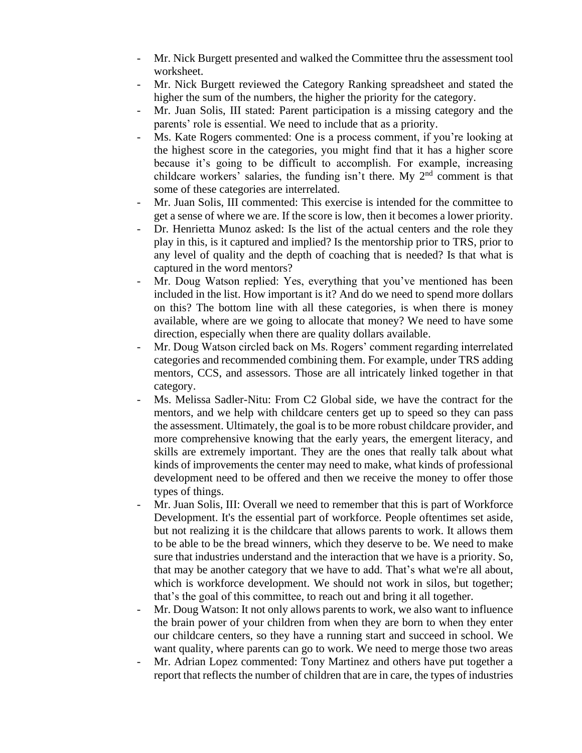- Mr. Nick Burgett presented and walked the Committee thru the assessment tool worksheet.
- Mr. Nick Burgett reviewed the Category Ranking spreadsheet and stated the higher the sum of the numbers, the higher the priority for the category.
- Mr. Juan Solis, III stated: Parent participation is a missing category and the parents' role is essential. We need to include that as a priority.
- Ms. Kate Rogers commented: One is a process comment, if you're looking at the highest score in the categories, you might find that it has a higher score because it's going to be difficult to accomplish. For example, increasing childcare workers' salaries, the funding isn't there. My  $2<sup>nd</sup>$  comment is that some of these categories are interrelated.
- Mr. Juan Solis, III commented: This exercise is intended for the committee to get a sense of where we are. If the score is low, then it becomes a lower priority.
- Dr. Henrietta Munoz asked: Is the list of the actual centers and the role they play in this, is it captured and implied? Is the mentorship prior to TRS, prior to any level of quality and the depth of coaching that is needed? Is that what is captured in the word mentors?
- Mr. Doug Watson replied: Yes, everything that you've mentioned has been included in the list. How important is it? And do we need to spend more dollars on this? The bottom line with all these categories, is when there is money available, where are we going to allocate that money? We need to have some direction, especially when there are quality dollars available.
- Mr. Doug Watson circled back on Ms. Rogers' comment regarding interrelated categories and recommended combining them. For example, under TRS adding mentors, CCS, and assessors. Those are all intricately linked together in that category.
- Ms. Melissa Sadler-Nitu: From C2 Global side, we have the contract for the mentors, and we help with childcare centers get up to speed so they can pass the assessment. Ultimately, the goal is to be more robust childcare provider, and more comprehensive knowing that the early years, the emergent literacy, and skills are extremely important. They are the ones that really talk about what kinds of improvements the center may need to make, what kinds of professional development need to be offered and then we receive the money to offer those types of things.
- Mr. Juan Solis, III: Overall we need to remember that this is part of Workforce Development. It's the essential part of workforce. People oftentimes set aside, but not realizing it is the childcare that allows parents to work. It allows them to be able to be the bread winners, which they deserve to be. We need to make sure that industries understand and the interaction that we have is a priority. So, that may be another category that we have to add. That's what we're all about, which is workforce development. We should not work in silos, but together; that's the goal of this committee, to reach out and bring it all together.
- Mr. Doug Watson: It not only allows parents to work, we also want to influence the brain power of your children from when they are born to when they enter our childcare centers, so they have a running start and succeed in school. We want quality, where parents can go to work. We need to merge those two areas
- Mr. Adrian Lopez commented: Tony Martinez and others have put together a report that reflects the number of children that are in care, the types of industries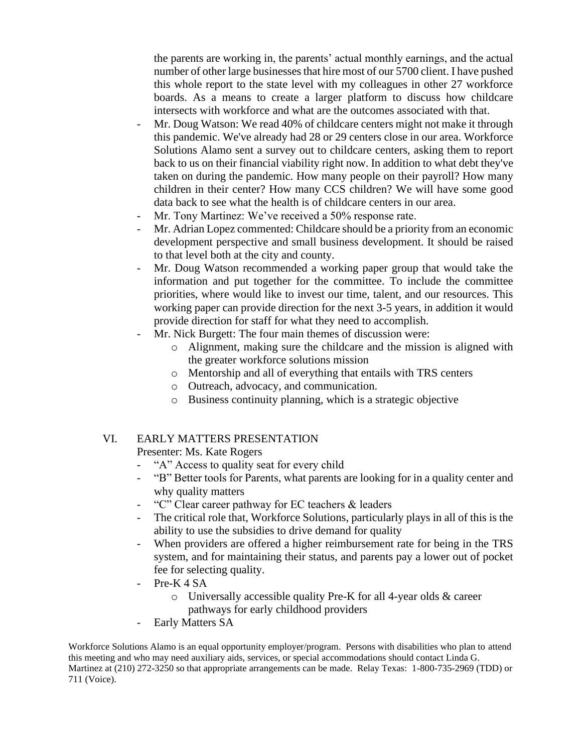the parents are working in, the parents' actual monthly earnings, and the actual number of other large businesses that hire most of our 5700 client. I have pushed this whole report to the state level with my colleagues in other 27 workforce boards. As a means to create a larger platform to discuss how childcare intersects with workforce and what are the outcomes associated with that.

- Mr. Doug Watson: We read 40% of childcare centers might not make it through this pandemic. We've already had 28 or 29 centers close in our area. Workforce Solutions Alamo sent a survey out to childcare centers, asking them to report back to us on their financial viability right now. In addition to what debt they've taken on during the pandemic. How many people on their payroll? How many children in their center? How many CCS children? We will have some good data back to see what the health is of childcare centers in our area.
- Mr. Tony Martinez: We've received a 50% response rate.
- Mr. Adrian Lopez commented: Childcare should be a priority from an economic development perspective and small business development. It should be raised to that level both at the city and county.
- Mr. Doug Watson recommended a working paper group that would take the information and put together for the committee. To include the committee priorities, where would like to invest our time, talent, and our resources. This working paper can provide direction for the next 3-5 years, in addition it would provide direction for staff for what they need to accomplish.
- Mr. Nick Burgett: The four main themes of discussion were:
	- o Alignment, making sure the childcare and the mission is aligned with the greater workforce solutions mission
	- o Mentorship and all of everything that entails with TRS centers
	- o Outreach, advocacy, and communication.
	- o Business continuity planning, which is a strategic objective

# VI. EARLY MATTERS PRESENTATION

Presenter: Ms. Kate Rogers

- "A" Access to quality seat for every child
- "B" Better tools for Parents, what parents are looking for in a quality center and why quality matters
- "C" Clear career pathway for EC teachers & leaders
- The critical role that, Workforce Solutions, particularly plays in all of this is the ability to use the subsidies to drive demand for quality
- When providers are offered a higher reimbursement rate for being in the TRS system, and for maintaining their status, and parents pay a lower out of pocket fee for selecting quality.
- Pre-K 4 SA
	- o Universally accessible quality Pre-K for all 4-year olds & career pathways for early childhood providers
- Early Matters SA

Workforce Solutions Alamo is an equal opportunity employer/program. Persons with disabilities who plan to attend this meeting and who may need auxiliary aids, services, or special accommodations should contact Linda G. Martinez at (210) 272-3250 so that appropriate arrangements can be made. Relay Texas: 1-800-735-2969 (TDD) or 711 (Voice).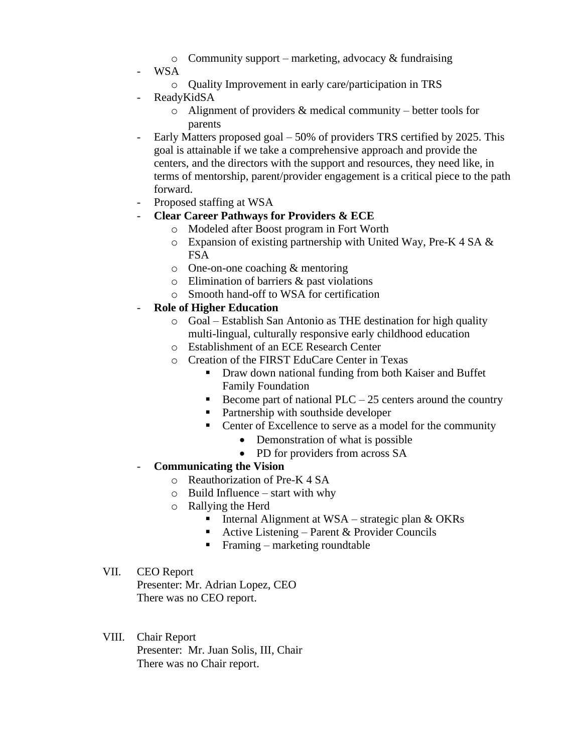- $\circ$  Community support marketing, advocacy & fundraising
- WSA
	- o Quality Improvement in early care/participation in TRS
- ReadyKidSA
	- $\circ$  Alignment of providers & medical community better tools for parents
- Early Matters proposed goal 50% of providers TRS certified by 2025. This goal is attainable if we take a comprehensive approach and provide the centers, and the directors with the support and resources, they need like, in terms of mentorship, parent/provider engagement is a critical piece to the path forward.
- Proposed staffing at WSA
- **Clear Career Pathways for Providers & ECE**
	- o Modeled after Boost program in Fort Worth
	- o Expansion of existing partnership with United Way, Pre-K 4 SA & FSA
	- o One-on-one coaching & mentoring
	- o Elimination of barriers & past violations
	- o Smooth hand-off to WSA for certification
- **Role of Higher Education**
	- o Goal Establish San Antonio as THE destination for high quality multi-lingual, culturally responsive early childhood education
	- o Establishment of an ECE Research Center
	- o Creation of the FIRST EduCare Center in Texas
		- Draw down national funding from both Kaiser and Buffet Family Foundation
		- **•** Become part of national PLC 25 centers around the country
		- Partnership with southside developer
		- Center of Excellence to serve as a model for the community
			- Demonstration of what is possible
			- PD for providers from across SA
- **Communicating the Vision**
	- o Reauthorization of Pre-K 4 SA
	- $\circ$  Build Influence start with why
	- o Rallying the Herd
		- **•** Internal Alignment at WSA strategic plan  $\&$  OKRs
		- Active Listening Parent & Provider Councils
		- $\blacksquare$  Framing marketing roundtable
- VII. CEO Report

Presenter: Mr. Adrian Lopez, CEO There was no CEO report.

VIII. Chair Report Presenter: Mr. Juan Solis, III, Chair There was no Chair report.